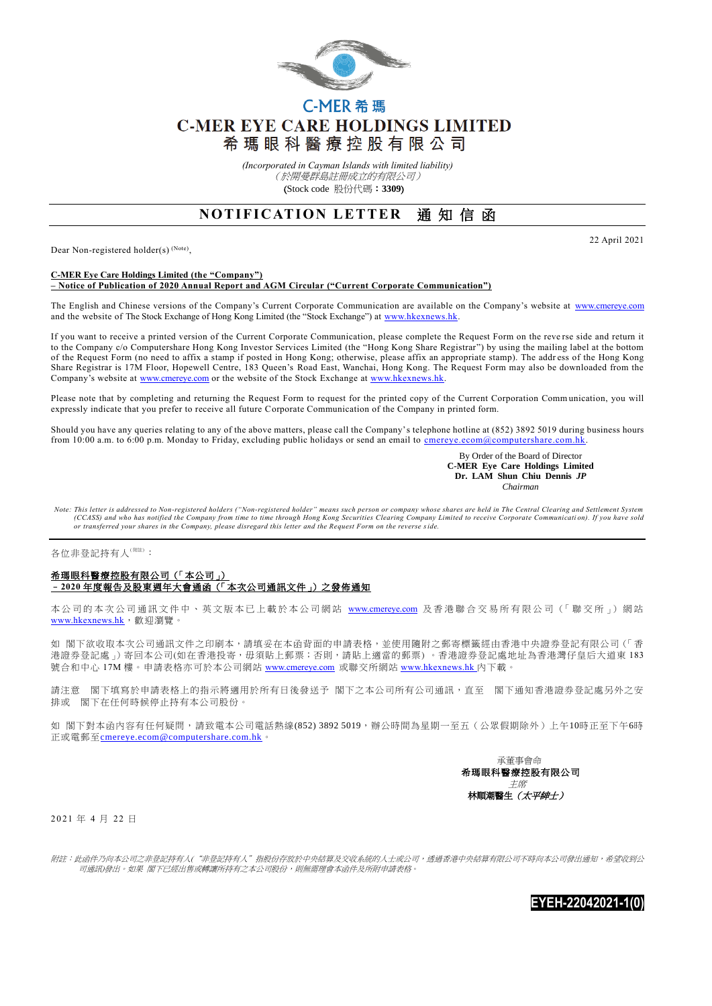

# C-MER 希瑪 **C-MER EYE CARE HOLDINGS LIMITED** 希 瑪 眼 科 醫 療 控 股 有 限 公 司

*(Incorporated in Cayman Islands with limited liability)* (於開曼群島註冊成立的有限公司) (Stock code 股份代碼:**3309**)

## **NOTIFICATION LETTER 通知信函**

Dear Non-registered holder(s)<sup>(Note)</sup>,

22 April 2021

#### **C-MER Eye Care Holdings Limited (the "Company") – Notice of Publication of 2020 Annual Report and AGM Circular ("Current Corporate Communication")**

The English and Chinese versions of the Company's Current Corporate Communication are available on the Company's website at [www.cmereye.com](http://www.cmereye.com/) and the website of The Stock Exchange of Hong Kong Limited (the "Stock Exchange") at www.hkexnews.hk

If you want to receive a printed version of the Current Corporate Communication, please complete the Request Form on the reve rse side and return it to the Company c/o Computershare Hong Kong Investor Services Limited (the "Hong Kong Share Registrar") by using the mailing label at the bottom of the Request Form (no need to affix a stamp if posted in Hong Kong; otherwise, please affix an appropriate stamp). The addr ess of the Hong Kong Share Registrar is 17M Floor, Hopewell Centre, 183 Queen's Road East, Wanchai, Hong Kong. The Request Form may also be downloaded from the Company's website at [www.cmereye.com](http://www.cmereye.com/) or the website of the Stock Exchange at www.hkexnews.hk

Please note that by completing and returning the Request Form to request for the printed copy of the Current Corporation Comm unication, you will expressly indicate that you prefer to receive all future Corporate Communication of the Company in printed form.

Should you have any queries relating to any of the above matters, please call the Company's telephone hotline at (852) 3892 5019 during business hours from 10:00 a.m. to 6:00 p.m. Monday to Friday, excluding public holidays or send an email to cmereye.ecom@computershare.com.hk

> By Order of the Board of Director  **C-MER Eye Care Holdings Limited Dr. LAM Shun Chiu Dennis** *JP Chairman*

*Note: This letter is addressed to Non-registered holders ("Non-registered holder" means such person or company whose shares are held in The Central Clearing and Settlement System*  (CCASS) and who has notified the Company from time to time through Hong Kong Securities Clearing Company Limited to receive Corporate Communication). If you have sold<br>or transferred your shares in the Company, please disre

#### 各位非登記持有人<sup>(附注)</sup>:

### 希瑪眼科醫療控股有限公司(「本公司」) –**2020** 年度報告及股東週年大會通函(「本次公司通訊文件」)之發佈通知

本公司的本次公司通訊文件中、英文版本已上載於本公司網站 [www.cmereye.com](http://www.cmereye.com/) 及香港聯合交易所有限公司(「聯交所」) 網站 [www.hkexnews.hk](http://www.hkexnews.hk/), 歡迎瀏覽。

如 閣下欲收取本次公司通訊文件之印刷本,請填妥在本函背面的申請表格,並使用隨附之郵寄標籤經由香港中央證券登記有限公司 (「香 港證券登記處」)寄回本公司(如在香港投寄,毋須貼上郵票;否則,請貼上適當的郵票)。香港證券登記處地址為香港灣仔皇后大道東183 號合和中心 17M 樓。申請表格亦可於本公司網站 [www.cmereye.com](http://www.cmereye.com/) 或聯交所網站 [www.hkexnews.hk](http://www.hkexnews.hk/) 內下載。

請注意 閣下填寫於申請表格上的指示將適用於所有日後發送予 閣下之本公司所有公司通訊,直至 閣下通知香港證券登記處另外之安 排或 閣下在任何時候停止持有本公司股份。

如 閣下對本函內容有任何疑問,請致電本公司電話熱線(852) 3892 5019,辦公時間為星期一至五(公眾假期除外)上午10時正至下午6時 正或電郵至[cmereye.ecom@computershare.com.hk](mailto:cmereye.ecom@computershare.com.hk)。



2 0 21 年 4 月 22 日

附註:此函件乃向本公司之非登記持有人("非登記持有人"指股份存放於中央結算及交收系統的人士或公司,透過香港中央結算有限公司不時向本公司發出通知,希望收到公 司通訊)發出。如果 閣下已經出售或轉讓所持有之本公司股份,則無需理會本函件及所附申請表格。